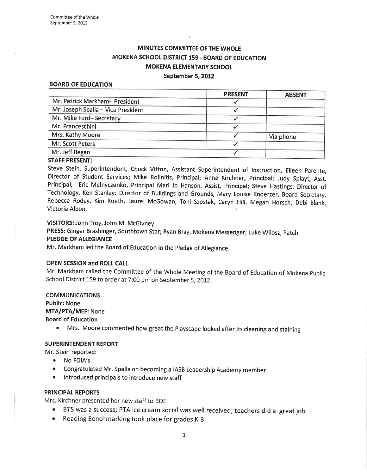# MINUTES COMMITTEE OF THE WHOLE MOKENA SCHOOL DISTRICT 159 - BOARD OF EDUCATION MOKENA ELEMENTARY SCHOOL September 5, 2012

#### BOARD OF EDUCATION

|                                    | <b>PRESENT</b> | <b>ABSENT</b> |
|------------------------------------|----------------|---------------|
| Mr. Patrick Markham- President     |                |               |
| Mr. Joseph Spalla - Vice President |                |               |
| Mr. Mike Ford-Secretary            |                |               |
| Mr. Franceschini                   |                |               |
| Mrs. Kathy Moore                   |                | Via phone     |
| Mr. Scott Peters                   |                |               |
| Mr. Jeff Regan                     |                |               |

#### STAFF PRESENT:

Steve Stein, Superintendent, Chuck Vitton, Assistant Superintendent of lnstruction, Eileen parente, Director of Student Services; Mike Rolinitis, Principal; Anna Kirchner, principal; Judy Splayt, Asst. Principal; Eric Melnyczenko, Principal Mari Jo Hanson, Assist, Principal; Steve Hastings, Director of Technology, Ken Stanley: Director of Buildings and Grounds, Mary Louise Knoerzer, Board Secretary, Rebecca Rodey, Kim Rueth, Laurel McGowan, Toni Szostak, Caryn Hill, Megan Horsch, Debi Blank, Victoria Albon.

# VISITORS: John Troy, John M. McGivney.

PRESS: Ginger Brashinger, Southtown Star; Ryan Bray, Mokena Messenger; Luke Wilosz, patch PLEDGE OF ALLEGIANCE

Mr. Markham led the Board of Education in the pledge of Allegiance.

#### OPEN SESSION and ROIL CAIL

Mr. Markham called the Committee of the Whole Meeting of the Board of Education of Mokena Public School District 159 to order at 7:00 pm on September 5, 2012.

#### COMMUNICATIONS Public: None

MTA/PTA/MEF: None

Board of Education

• Mrs. Moore commented how great the Playscape looked after its cleaning and staining

#### SUPERINTENDENT REPORT

Mr. Stein reported:

- No FOIA's
- ¡ congratulated Mr. spalla on becoming a IASB Leadership Academy member
- . lntroduced principals to introduce new staff

#### PRINCIPAL REPORTS

Mrs. Kirchner presented her new staff to BOE

- BTS was a success; PTA ice cream social was well received; teachers did a great job
- Reading Benchmarking took place for grades K-3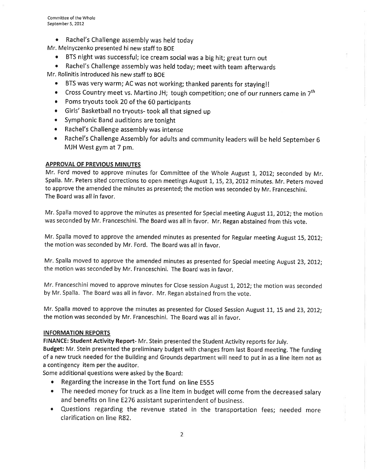o Rachel's Challenge assembly was held today

Mr. Melnyczenko presented hi new staff to BOE

- BTS night was successful; ice cream social was a big hit; great turn out
- Rachel's Challenge assembly was held today; meet with team afterwards

Mr. Rolinitis introduced his new staff to BOE

- BTS was very warm; AC was not working; thanked parents for staying!!
- Cross Country meet vs. Martino JH; tough competition; one of our runners came in  $7<sup>th</sup>$
- Poms tryouts took 20 of the 60 participants
- e Girls' Basketball no tryouts- took all that signed up
- . Symphonic Band auditions are tonight
- . Rachel's Challenge assembly was intense
- . Rachel's Challenge Assembly for adults and community leaders will be held September <sup>6</sup> MJH West gym at 7 pm.

# APPROVAL OF PREVIOUS MINUTES

Mr. Ford moved to approve minutes for Committee of the Whole August 1, 2012; seconded by Mr. Spalla. Mr. Peters sited corrections to open meetings August 1, 15, 23, 2012 minutes. Mr. Peters moved to approve the amended the minutes as presented; the motion was seconded by Mr. Franceschini. The Board was all in favor.

Mr. Spalla moved to approve the minutes as presented for Special meeting August 11, 2012; the motion was seconded by Mr. Franceschini, The Board was all in favor. Mr. Regan abstained from this vote.

Mr. Spalla moved to approve the amended minutes as presented for Regular meeting August 15, 2012; the motion was seconded by Mr. Ford. The Board was all in favor.

Mr. Spalla moved to approve the amended minutes as presented for Special meeting August 23,2012; the motion was seconded by Mr. Franceschini. The Board was in favor.

Mr. Franceschini moved to approve minutes for Close session August 1, 2012; the motion was seconded by Mr. Spalla. The Board was allin favor. Mr. Regan abstained from the vote.

Mr. Spalla moved to approve the minutes as presented for Closed Session August 11, 15 and 23, 2012; the motion was seconded by Mr. Franceschini. The Board was all in favor.

# INFORMATION REPORTS

FINANCE: Student Activity Report- Mr. Stein presented the Student Activity reports for July.

Budget: Mr. Stein presented the preliminary budget with changes from last Board meeting. The funding of a new truck needed for the Building and Grounds department will need to put in as a line item not as a contingency item per the auditor.

Some additional questions were asked by the Board:

- Regarding the increase in the Tort fund on line E555
- The needed money for truck as a line item in budget will come from the decreased salary and benefits on line E276 assistant superintendent of business.
- r Questions regarding the revenue stated in the transportation fees; needed more clarification on line R82.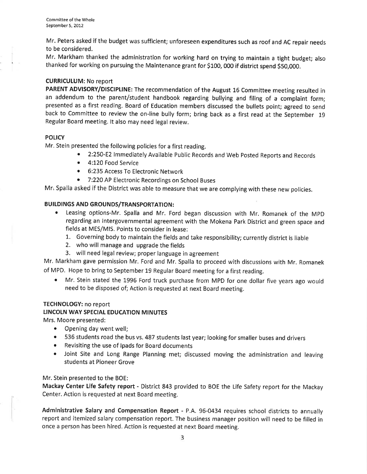Mr. Peters asked if the budget was sufficient; unforeseen expenditures such as roof and AC repair needs to be considered.

Mr. Markham thanked the administration for working hard on trying to maintain a tight budget; also thanked for working on pursuing the Maintenance grant for \$100, 000 if district spend 55o,ooo.

# CURRICULUM: No report

PARENT ADVISORY/DISCIPLINE: The recommendation of the August 16 Committee meeting resulted in an addendum to the parent/student handbook regarding bullying and filing of a complaint form; presented as a first reading. Board of Education members discussed the bullets point; agreed to send back to Committee to review the on-line bully form; bring back as a first read at the September 19 Regular Board meeting. lt also may need legal review.

# **POLICY**

Mr. Stein presented the following policies for a first reading.

- 2:250-E2 Immediately Available Public Records and Web Posted Reports and Records
- c 4:120 Food Seruice
- o 6:235 Access To Electronic Network
- 7:220 AP Electronic Recordings on School Buses

Mr, Spalla asked if the District was able to measure that we are complying with these new policies.

# BUILDINGS AND GROUNDS/TRANSPORTATION:

- o Leasing options-Mr. Spalla and Mr. Ford began discussion with Mr. Romanek of the MpD regarding an lntergovernmental agreement with the Mokena Park District and green space and fields at MES/MlS. Points to consider in lease:
	- 1. Governing body to maintain the fields and take responsibility; currently district is liable
	- 2. who will manage and upgrade the fields
	- 3. will need legal review; proper language in agreement

Mr. Markham gave permission Mr. Ford and Mr. Spalla to proceed with discussions with Mr. Romanek of MPD. Hope to bring to September 19 Regular Board meeting for a first reading.

• Mr. Stein stated the 1996 Ford truck purchase from MPD for one dollar five years ago would need to be disposed of; Action is requested at next Board meeting.

# TECHNOLOGY: no report

## LINCOLN WAY SPECIAL EDUCATION MINUTES

Mrs. Moore presented:

- Opening day went well;
- ¡ 536 students road the bus vs. 487 students last year; looking for smaller buses and drivers
- o Revisiting the use of lpads for Board documents
- Joint Site and Long Range Planning met; discussed moving the administration and leaving students at Pioneer Grove

#### Mr. Stein presented to the BOE:

Mackay Center Life Safety report - District 843 provided to BOE the Life Safety report for the Mackay Center. Action is requested at next Board meeting.

Administrative Salary and Compensation Report - P.A. 96-0434 requires school districts to annually report and itemized salary compensation report. The business manager position will need to be filled in once a person has been hired. Action is requested at next Board meeting.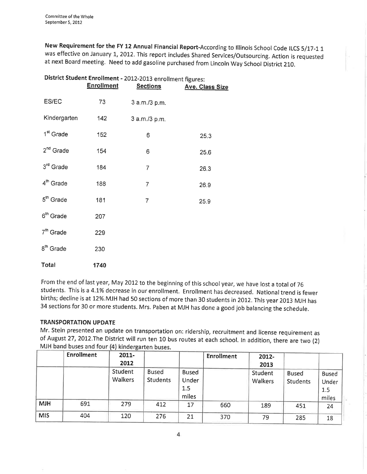New Requirement for the FY 12 Annual Financial Report-According to Illinois School Code ILCS 5/17-1 1 was effective on January 1, 2012. This report includes Shared Services/Outsourcing. Action is requested at next Board meeting. Need to add gasoline purchased from Lincoln Way School District 210.

| District Student Enrollment - 2012-2013 enrollment figures: |                   |                 |                        |  |  |  |  |
|-------------------------------------------------------------|-------------------|-----------------|------------------------|--|--|--|--|
|                                                             | <b>Enrollment</b> | <b>Sections</b> | <b>Ave. Class Size</b> |  |  |  |  |
| ES/EC                                                       | 73                | 3 a.m./3 p.m.   |                        |  |  |  |  |
| Kindergarten                                                | 142               | 3 a.m./3 p.m.   |                        |  |  |  |  |
| 1 <sup>st</sup> Grade                                       | 152               | 6               | 25.3                   |  |  |  |  |
| 2 <sup>nd</sup> Grade                                       | 154               | 6               | 25.6                   |  |  |  |  |
| 3rd Grade                                                   | 184               | $\overline{7}$  | 26.3                   |  |  |  |  |
| 4 <sup>th</sup> Grade                                       | 188               | 7               | 26.9                   |  |  |  |  |
| $5th$ Grade                                                 | 181               | 7               | 25.9                   |  |  |  |  |
| 6 <sup>th</sup> Grade                                       | 207               |                 |                        |  |  |  |  |
| $7th$ Grade                                                 | 229               |                 |                        |  |  |  |  |
| 8 <sup>th</sup> Grade                                       | 230               |                 |                        |  |  |  |  |
| Total                                                       | 1740              |                 |                        |  |  |  |  |

From the end of last year, May 2012 to the beginning of this school year, we have lost a total of 76 students. This is a 4.1% decrease in our enrollment. Enrollment has decreased. National trend is fewer births; decline is at 12%. MJH had 50 sections of more than 30 students in 2012. This year 2013 MJH has <sup>34</sup>sections for 30 or more students. Mrs. Paben at MiH has done a good job balancing the schedule.

# TRANSPORTATION UPDATE

Mr. Stein presented an update on transportation on: ridership, recruitment and license requirement as of August 27,2012.The District will run ten 10 bus routes at each school. ln addition, there are two (2) MJH band buses and four (4) kindergarten buses.

|            | <b>Enrollment</b> | $2011 -$<br>2012   |                                 |                                       | <b>Enrollment</b> | 2012-<br>2013      |                                 |                                       |
|------------|-------------------|--------------------|---------------------------------|---------------------------------------|-------------------|--------------------|---------------------------------|---------------------------------------|
|            |                   | Student<br>Walkers | <b>Bused</b><br><b>Students</b> | <b>Bused</b><br>Under<br>1.5<br>miles |                   | Student<br>Walkers | <b>Bused</b><br><b>Students</b> | <b>Bused</b><br>Under<br>1.5<br>miles |
| <b>MJH</b> | 691               | 279                | 412                             | 17                                    | 660               | 189                | 451                             | 24                                    |
| <b>MIS</b> | 404               | 120                | 276                             | 21                                    | 370               | 79                 | 285                             | 18                                    |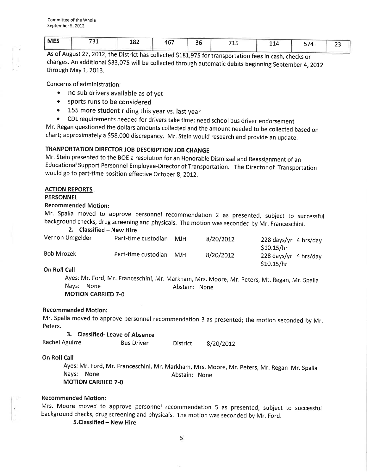| <b>MES</b> | 724<br>ᇰ | 182 | 467 | 30 | 74 F<br>-- | 114 | 574<br>້ | $ \sim$ |
|------------|----------|-----|-----|----|------------|-----|----------|---------|
|            |          |     |     |    |            |     |          |         |

As of August 27, 2012, the District has collected \$181,975 for transportation fees in cash, checks or charges. An additional \$33,075 will be collected through automatic debits beginning September 4,20!2 through May 1, 2013.

Concerns of administration:

- . no sub drivers available as of yet
- sports runs to be considered
- 155 more student riding this year vs. last year
- CDL requirements needed for drivers take time; need school bus driver endorsement

Mr. Regan questioned the dollars amounts collected and the amount needed to be collected based on chart; approximately a S58,OOO discrepancy. Mr. Stein would research and provide an update.

# TRANPORTATION DIRECTOR JOB DESCRIPTION JOB CHANGE

Mr. Stein presented to the BOE a resolution for an Honorable Dismissal and Reassignment of an Educational Support Personnel Employee-Director of Transportation. The Director of Transportation would go to part-time position effective October 8, 2012.

#### ACTION REPORTS

# PERSONNEL

#### Recommended Motion:

Mr. Spalla moved to approve personnel recommendation 2 as presented, subject to successful

background checks, drug screening and physicals. The motion was seconded by Mr. Franceschini.<br>
2. Classified – New Hire<br>
Vernon Umgelder Part-time custodian MIH 8/20/2012 228 days/yr. 4 b Part-time custodian MJH 8/20/2012 228 days/yr 4 hrs/day  $$10.15/hr$ Bob Mrozek **Part-time custodian MJH** 8/20/2012 228 days/yr 4 hrs/day  $$10.15/hr$ On Roll Call

Ayes: Mr. Ford, Mr. Franceschini, Mr. Markham, Mrs. Moore, Mr. peters, Mt. Regan, Mr. Spalla Nays: None **Abstain: None** MOTION CARRIED 7-O

#### Recommended Motion:

Mr. Spalla moved to approve personnel recommendation 3 as presented; the motion seconded by Mr. Peters.

|                | 3. Classified-Leave of Absence |          |           |
|----------------|--------------------------------|----------|-----------|
| Rachel Aguirre | <b>Bus Driver</b>              | District | 8/20/2012 |

#### **On Roll Call**

Ayes: Mr. Ford, Mr. Franceschini, Mr. Markham, Mrs. Moore, Mr. peters, Mr. Regan Mr. Spalla Nays: None **Abstain:** None MOTION CARRIED 7-O

#### Recommended Motion:

Mrs. Moore moved to approve personnel recommendation 5 as presented, subject to successful background checks, drug screening and physicals. The motion was seconded by Mr. Ford,

5.Classified - New Hire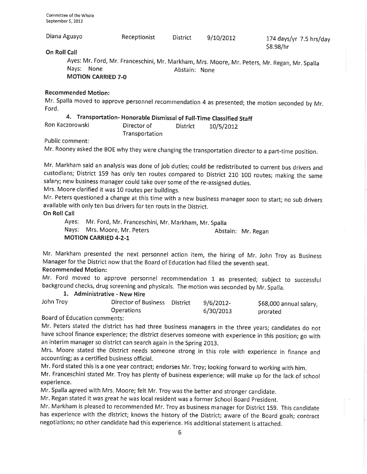| Diana Aguayo                                                                                                                                                | Receptionist | <b>District</b> | 9/10/2012 | 174 days/yr $7.5$ hrs/day<br>\$8.98/hr |  |  |  |
|-------------------------------------------------------------------------------------------------------------------------------------------------------------|--------------|-----------------|-----------|----------------------------------------|--|--|--|
| On Roll Call                                                                                                                                                |              |                 |           |                                        |  |  |  |
| Ayes: Mr. Ford, Mr. Franceschini, Mr. Markham, Mrs. Moore, Mr. Peters, Mr. Regan, Mr. Spalla<br>Nays:<br>None<br>Abstain: None<br><b>MOTION CARRIED 7-0</b> |              |                 |           |                                        |  |  |  |
| <b>Recommended Motion:</b>                                                                                                                                  |              |                 |           |                                        |  |  |  |
| Mr. Spalla moved to approve personnel recommendation 4 as presented; the motion seconded by Mr.<br>Ford.                                                    |              |                 |           |                                        |  |  |  |
| 4. Transportation-Honorable Dismissal of Full-Time Classified Staff                                                                                         |              |                 |           |                                        |  |  |  |
| Ron Kaczorowski                                                                                                                                             | Director of  | <b>District</b> | 10/5/2012 |                                        |  |  |  |

Public comment:

Mr. Rooney asked the BOE why they were changing the transportation director to a part-time position.

Transportation

Mr. Markham said an analysis was done of job duties; could be redistributed to current bus drivers and custodians; District 159 has only ten routes compared to District 210 100 routes; making the same salary; new business manager could take over some of the re-assigned duties.

Mrs. Moore clarified it was 10 routes per buildings,

Mr. Peters questioned a change at this time with a new business manager soon to start; no sub drivers available with only ten bus drivers for ten routs in the District.

On Roll Call

Ayes: Mr, Ford, Mr. Franceschini, Mr. Markham, Mr. Spalla Nays: Mrs. Moore, Mr. Peters MOTION CARRIED 4-2-1 Abstain: Mr. Regan

Mr. Markham presented the next personnel action item, the hiring of Mr. John Troy as Business Manager for the District now that the Board of Education had filled the seventh seat.

# Recommended Motion:

Mr. Ford moved to approve personnel recommendation 1 as presented; subject to successful background checks, drug screening and physicals. The motion was seconded by Mr. Spalla.<br>1. Administrative - New Hire

| John Troy                                                              | Director of Business District | $9/6/2012$ - | \$68,000 annual salary, |
|------------------------------------------------------------------------|-------------------------------|--------------|-------------------------|
|                                                                        | <b>Operations</b>             | 6/30/2013    | prorated                |
| $D$ a and $\alpha$ <sup>2</sup> $\Gamma$ distants a series of $\Gamma$ |                               |              |                         |

Board of Education comments:

Mr. Peters stated the district has had three business managers in the three years; candidates do not have school finance experience; the district deserves someone with experience in this position; go with an interim manager so district can search again in the Spring 2013.

Mrs. Moore stated the District needs someone strong in this role with experience in finance and accounting; as a certified business official.

Mr. Ford stated this is a one year contract; endorses Mr. Troy; looking forward to working with him.

Mr. Franceschini stated Mr. Troy has plenty of business experience; will make up for the lack of school experience.

Mr. Spalla agreed with Mrs. Moore; felt Mr. Troy was the better and stronger candidate.

Mr. Regan stated it was great he was local resident was a former School Board president.

Mr. Markham is pleased to recommended Mr. Troy as business manager for District 159. This candidate has experience with the district; knows the history of the District; aware of the Board goals; contract negotiations; no other candidate had this experience. His additional statement is attached.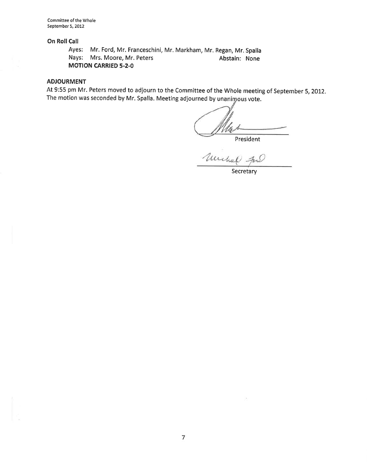# On Roll Call

Ayes: Mr. Ford, Mr. Franceschini, Mr. Markham, Mr. Regan, Mr. Spalla Nays: Mrs. Moore, Mr. Peters Abstain: None MOTION CARRIED 5.2-O

### ADJOURMENT

At 9:55 pm Mr. Peters moved to adjourn to the Committee of the Whole meeting of September 5, 2012. The motion was seconded by Mr. Spalla. Meeting adjourned by unanimous vote.

<u>NN</u>

President

Secretary